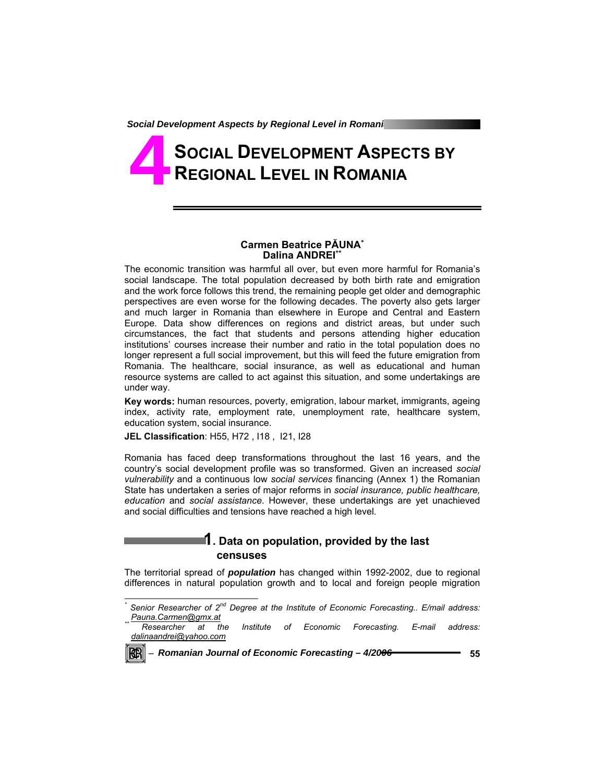# **SOCIAL DEVELOPMENT ASPECTS BY REGIONAL LEVEL IN ROMANIA 4**

#### **Carmen Beatrice PĂUNA\* Dalina ANDREI\*\***

The economic transition was harmful all over, but even more harmful for Romania's social landscape. The total population decreased by both birth rate and emigration and the work force follows this trend, the remaining people get older and demographic perspectives are even worse for the following decades. The poverty also gets larger and much larger in Romania than elsewhere in Europe and Central and Eastern Europe. Data show differences on regions and district areas, but under such circumstances, the fact that students and persons attending higher education institutions' courses increase their number and ratio in the total population does no longer represent a full social improvement, but this will feed the future emigration from Romania. The healthcare, social insurance, as well as educational and human resource systems are called to act against this situation, and some undertakings are under way.

**Key words:** human resources, poverty, emigration, labour market, immigrants, ageing index, activity rate, employment rate, unemployment rate, healthcare system, education system, social insurance.

**JEL Classification**: H55, H72 , I18 , I21, I28

Romania has faced deep transformations throughout the last 16 years, and the country's social development profile was so transformed. Given an increased *social vulnerability* and a continuous low *social services* financing (Annex 1) the Romanian State has undertaken a series of major reforms in *social insurance, public healthcare, education* and *social assistance*. However, these undertakings are yet unachieved and social difficulties and tensions have reached a high level.

> **1. Data on population, provided by the last censuses**

The territorial spread of *population* has changed within 1992-2002, due to regional differences in natural population growth and to local and foreign people migration

*Researcher at the Institute of Economic Forecasting. E-mail address: dalinaandrei@yahoo.com*



-

*<sup>\*</sup>* <sup>\*</sup> Senior Researcher of 2<sup>nd</sup> Degree at the Institute of Economic Forecasting.. E/mail address:<br><u>. Pauna.Carmen@gmx.at</u>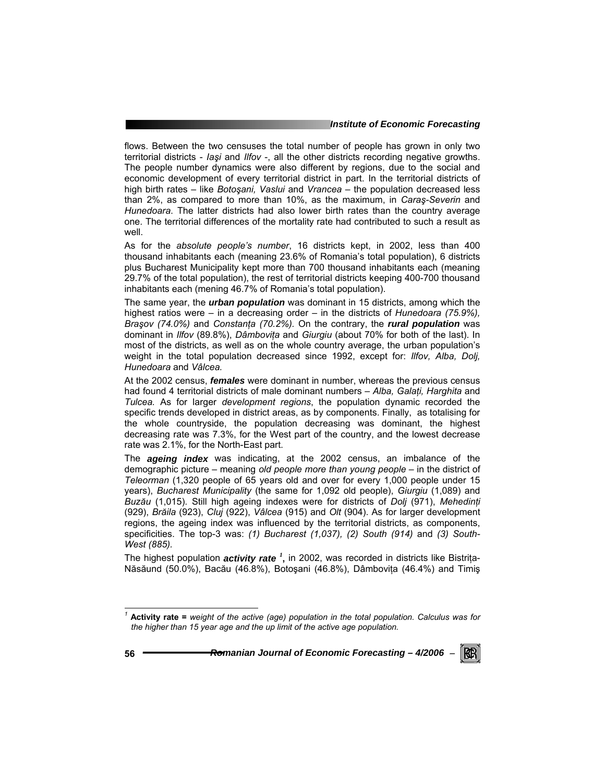#### *Institute of Economic Forecasting*

flows. Between the two censuses the total number of people has grown in only two territorial districts - *Iaşi* and *Ilfov* -, all the other districts recording negative growths. The people number dynamics were also different by regions, due to the social and economic development of every territorial district in part. In the territorial districts of high birth rates – like *Botoşani, Vaslui* and *Vrancea* – the population decreased less than 2%, as compared to more than 10%, as the maximum, in *Caraş-Severin* and *Hunedoara*. The latter districts had also lower birth rates than the country average one. The territorial differences of the mortality rate had contributed to such a result as well.

As for the *absolute people's number*, 16 districts kept, in 2002, less than 400 thousand inhabitants each (meaning 23.6% of Romania's total population), 6 districts plus Bucharest Municipality kept more than 700 thousand inhabitants each (meaning 29.7% of the total population), the rest of territorial districts keeping 400-700 thousand inhabitants each (mening 46.7% of Romania's total population).

The same year, the *urban population* was dominant in 15 districts, among which the highest ratios were – in a decreasing order – in the districts of *Hunedoara (75.9%)*, *Braşov (74.0%)* and *Constanţa (70.2%).* On the contrary, the *rural population* was dominant in *Ilfov* (89.8%), *Dâmboviţa* and *Giurgiu* (about 70% for both of the last). In most of the districts, as well as on the whole country average, the urban population's weight in the total population decreased since 1992, except for: *Ilfov, Alba, Dolj, Hunedoara* and *Vâlcea.* 

At the 2002 census, *females* were dominant in number, whereas the previous census had found 4 territorial districts of male dominant numbers – *Alba, Galaţi, Harghita* and *Tulcea.* As for larger *development regions*, the population dynamic recorded the specific trends developed in district areas, as by components. Finally, as totalising for the whole countryside, the population decreasing was dominant, the highest decreasing rate was 7.3%, for the West part of the country, and the lowest decrease rate was 2.1%, for the North-East part.

The *ageing index* was indicating, at the 2002 census, an imbalance of the demographic picture – meaning *old people more than young people* – in the district of *Teleorman* (1,320 people of 65 years old and over for every 1,000 people under 15 years), *Bucharest Municipality* (the same for 1,092 old people), *Giurgiu* (1,089) and *Buzău* (1,015). Still high ageing indexes were for districts of *Dolj* (971), *Mehedinţi*  (929), *Brăila* (923), *Cluj* (922), *Vâlcea* (915) and *Olt* (904). As for larger development regions, the ageing index was influenced by the territorial districts, as components, specificities. The top-3 was: *(1) Bucharest (1,037), (2) South (914)* and *(3) South-West (885).*

The highest population *activity rate <sup>1</sup>* **,** in 2002, was recorded in districts like Bistriţa-Năsăund (50.0%), Bacău (46.8%), Botoşani (46.8%), Dâmboviţa (46.4%) and Timiş

-

*<sup>1</sup>* **Activity rate =** *weight of the active (age) population in the total population. Calculus was for the higher than 15 year age and the up limit of the active age population.*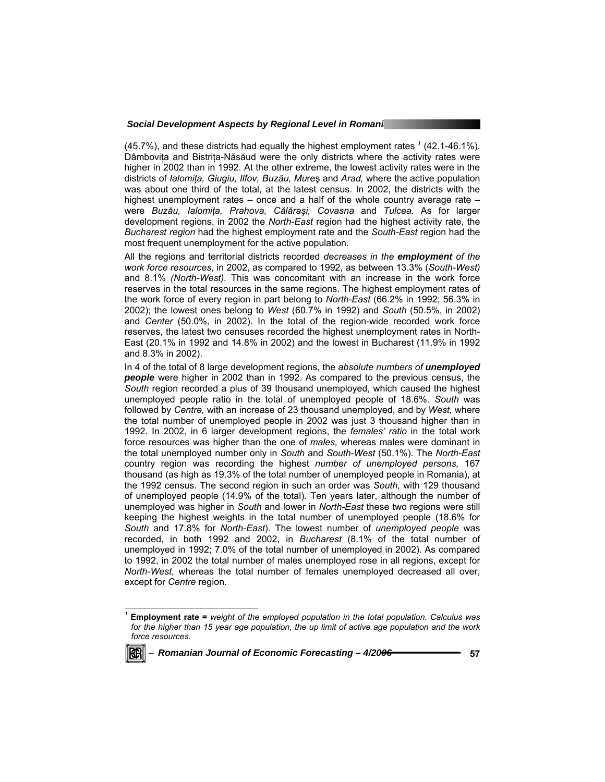(45.7%), and these districts had equally the highest employment rates  $^1$  (42.1-46.1%). Dâmboviţa and Bistriţa-Năsăud were the only districts where the activity rates were higher in 2002 than in 1992. At the other extreme, the lowest activity rates were in the districts of *Ialomiţa, Giugiu, Ilfov, Buzău, Mu*reş and *Arad,* where the active population was about one third of the total, at the latest census. In 2002, the districts with the highest unemployment rates – once and a half of the whole country average rate – were *Buzău, Ialomiţa, Prahova, Călăraşi, Covasna* and *Tulcea.* As for larger development regions, in 2002 the *North-East* region had the highest activity rate, the *Bucharest region* had the highest employment rate and the *South-East* region had the most frequent unemployment for the active population.

All the regions and territorial districts recorded *decreases in the employment of the work force resources*, in 2002, as compared to 1992, as between 13.3% (*South-West)*  and 8.1% *(North-West).* This was concomitant with an increase in the work force reserves in the total resources in the same regions. The highest employment rates of the work force of every region in part belong to *North-East* (66.2% in 1992; 56.3% in 2002); the lowest ones belong to *West* (60.7% in 1992) and *South* (50.5%, in 2002) and *Center* (50.0%, in 2002). In the total of the region-wide recorded work force reserves, the latest two censuses recorded the highest unemployment rates in North-East (20.1% in 1992 and 14.8% in 2002) and the lowest in Bucharest (11.9% in 1992 and 8.3% in 2002).

In 4 of the total of 8 large development regions, the *absolute numbers of unemployed people* were higher in 2002 than in 1992. As compared to the previous census, the *South* region recorded a plus of 39 thousand unemployed, which caused the highest unemployed people ratio in the total of unemployed people of 18.6%. *South* was followed by *Centre,* with an increase of 23 thousand unemployed, and by *West,* where the total number of unemployed people in 2002 was just 3 thousand higher than in 1992. In 2002, in 6 larger development regions, the *females' ratio* in the total work force resources was higher than the one of *males,* whereas males were dominant in the total unemployed number only in *South* and *South*-*West* (50.1%). The *North-East* country region was recording the highest *number of unemployed persons,* 167 thousand (as high as 19.3% of the total number of unemployed people in Romania), at the 1992 census. The second region in such an order was *South,* with 129 thousand of unemployed people (14.9% of the total). Ten years later, although the number of unemployed was higher in *South* and lower in *North-East* these two regions were still keeping the highest weights in the total number of unemployed people (18.6% for *South* and 17.8% for *North-East*). The lowest number of *unemployed people* was recorded, in both 1992 and 2002, in *Bucharest* (8.1% of the total number of unemployed in 1992; 7.0% of the total number of unemployed in 2002). As compared to 1992, in 2002 the total number of males unemployed rose in all regions, except for *North-West*, whereas the total number of females unemployed decreased all over, except for *Centre* region.

*<sup>1</sup>* **Employment rate =** *weight of the employed population in the total population. Calculus was for the higher than 15 year age population, the up limit of active age population and the work force resources.* 



l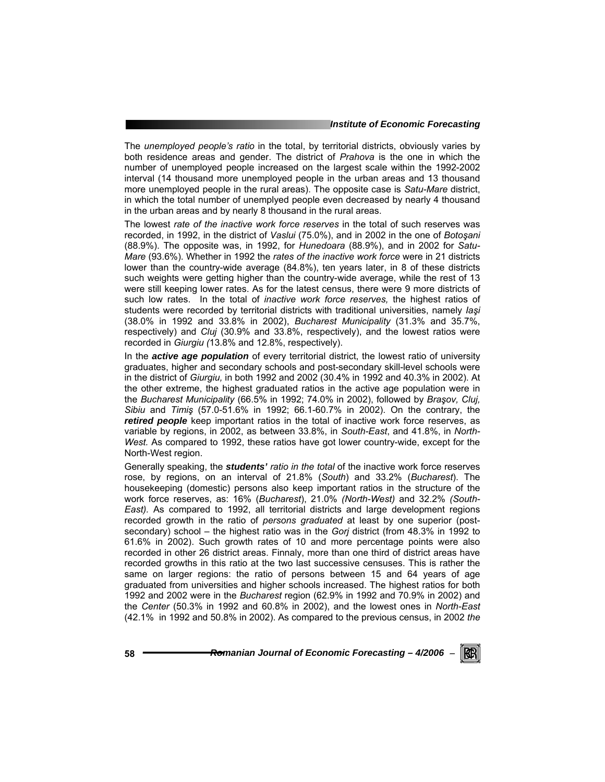#### *Institute of Economic Forecasting*

The *unemployed people's ratio* in the total, by territorial districts, obviously varies by both residence areas and gender. The district of *Prahova* is the one in which the number of unemployed people increased on the largest scale within the 1992-2002 interval (14 thousand more unemployed people in the urban areas and 13 thousand more unemployed people in the rural areas). The opposite case is *Satu-Mare* district, in which the total number of unemplyed people even decreased by nearly 4 thousand in the urban areas and by nearly 8 thousand in the rural areas.

The lowest *rate of the inactive work force reserves* in the total of such reserves was recorded, in 1992, in the district of *Vaslui* (75.0%), and in 2002 in the one of *Botoşani*  (88.9%). The opposite was, in 1992, for *Hunedoara* (88.9%), and in 2002 for *Satu-Mare* (93.6%). Whether in 1992 the *rates of the inactive work force* were in 21 districts lower than the country-wide average (84.8%), ten years later, in 8 of these districts such weights were getting higher than the country-wide average, while the rest of 13 were still keeping lower rates. As for the latest census, there were 9 more districts of such low rates. In the total of *inactive work force reserves,* the highest ratios of students were recorded by territorial districts with traditional universities, namely *Iaşi*  (38.0% in 1992 and 33.8% in 2002), *Bucharest Municipality* (31.3% and 35.7%, respectively) and *Cluj* (30.9% and 33.8%, respectively), and the lowest ratios were recorded in *Giurgiu (*13.8% and 12.8%, respectively).

In the *active age population* of every territorial district, the lowest ratio of university graduates, higher and secondary schools and post-secondary skill-level schools were in the district of *Giurgiu,* in both 1992 and 2002 (30.4% in 1992 and 40.3% in 2002). At the other extreme, the highest graduated ratios in the active age population were in the *Bucharest Municipality* (66.5% in 1992; 74.0% in 2002), followed by *Braşov, Cluj, Sibiu* and *Timiş* (57.0-51.6% in 1992; 66.1-60.7% in 2002). On the contrary, the *retired people* keep important ratios in the total of inactive work force reserves, as variable by regions, in 2002, as between 33.8%, in *South-East*, and 41.8%, in *North-West.* As compared to 1992, these ratios have got lower country-wide, except for the North-West region.

Generally speaking, the *students' ratio in the total* of the inactive work force reserves rose, by regions, on an interval of 21.8% (*South*) and 33.2% (*Bucharest*). The housekeeping (domestic) persons also keep important ratios in the structure of the work force reserves, as: 16% (*Bucharest*), 21.0% *(North-West)* and 32.2% *(South-East).* As compared to 1992, all territorial districts and large development regions recorded growth in the ratio of *persons graduated* at least by one superior (postsecondary) school – the highest ratio was in the *Gorj* district (from 48.3% in 1992 to 61.6% in 2002). Such growth rates of 10 and more percentage points were also recorded in other 26 district areas. Finnaly, more than one third of district areas have recorded growths in this ratio at the two last successive censuses. This is rather the same on larger regions: the ratio of persons between 15 and 64 years of age graduated from universities and higher schools increased. The highest ratios for both 1992 and 2002 were in the *Bucharest* region (62.9% in 1992 and 70.9% in 2002) and the *Center* (50.3% in 1992 and 60.8% in 2002), and the lowest ones in *North-East* (42.1% in 1992 and 50.8% in 2002). As compared to the previous census, in 2002 *the* 

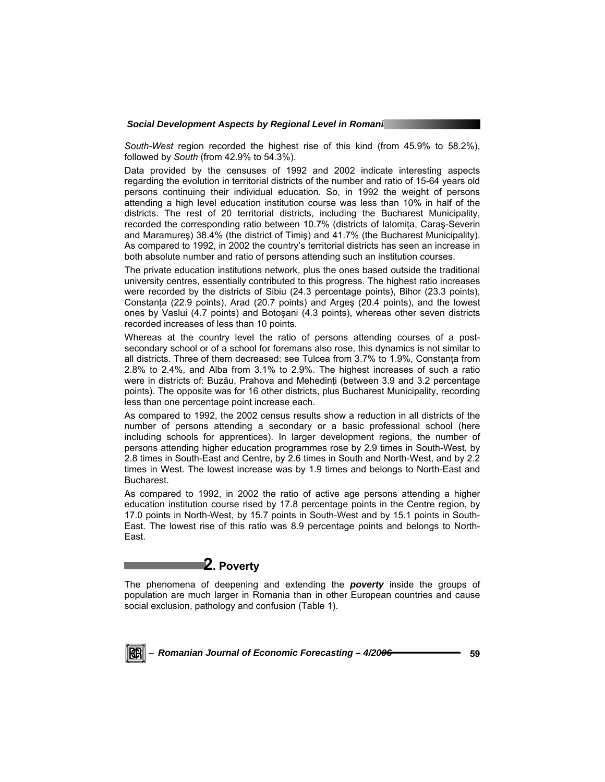*South-West* region recorded the highest rise of this kind (from 45.9% to 58.2%), followed by *South* (from 42.9% to 54.3%).

Data provided by the censuses of 1992 and 2002 indicate interesting aspects regarding the evolution in territorial districts of the number and ratio of 15-64 years old persons continuing their individual education. So, in 1992 the weight of persons attending a high level education institution course was less than 10% in half of the districts. The rest of 20 territorial districts, including the Bucharest Municipality, recorded the corresponding ratio between 10.7% (districts of Ialomita, Caras-Severin and Maramureş) 38.4% (the district of Timiş) and 41.7% (the Bucharest Municipality). As compared to 1992, in 2002 the country's territorial districts has seen an increase in both absolute number and ratio of persons attending such an institution courses.

The private education institutions network, plus the ones based outside the traditional university centres, essentially contributed to this progress. The highest ratio increases were recorded by the districts of Sibiu (24.3 percentage points), Bihor (23.3 points), Constanta (22.9 points), Arad (20.7 points) and Arges (20.4 points), and the lowest ones by Vaslui (4.7 points) and Botoşani (4.3 points), whereas other seven districts recorded increases of less than 10 points.

Whereas at the country level the ratio of persons attending courses of a postsecondary school or of a school for foremans also rose, this dynamics is not similar to all districts. Three of them decreased: see Tulcea from 3.7% to 1.9%, Constanţa from 2.8% to 2.4%, and Alba from 3.1% to 2.9%. The highest increases of such a ratio were in districts of: Buzău, Prahova and Mehedinți (between 3.9 and 3.2 percentage points). The opposite was for 16 other districts, plus Bucharest Municipality, recording less than one percentage point increase each.

As compared to 1992, the 2002 census results show a reduction in all districts of the number of persons attending a secondary or a basic professional school (here including schools for apprentices). In larger development regions, the number of persons attending higher education programmes rose by 2.9 times in South-West, by 2.8 times in South-East and Centre, by 2.6 times in South and North-West, and by 2.2 times in West. The lowest increase was by 1.9 times and belongs to North-East and Bucharest.

As compared to 1992, in 2002 the ratio of active age persons attending a higher education institution course rised by 17.8 percentage points in the Centre region, by 17.0 points in North-West, by 15.7 points in South-West and by 15.1 points in South-East. The lowest rise of this ratio was 8.9 percentage points and belongs to North-East.

# **2. Poverty**

The phenomena of deepening and extending the *poverty* inside the groups of population are much larger in Romania than in other European countries and cause social exclusion, pathology and confusion (Table 1).

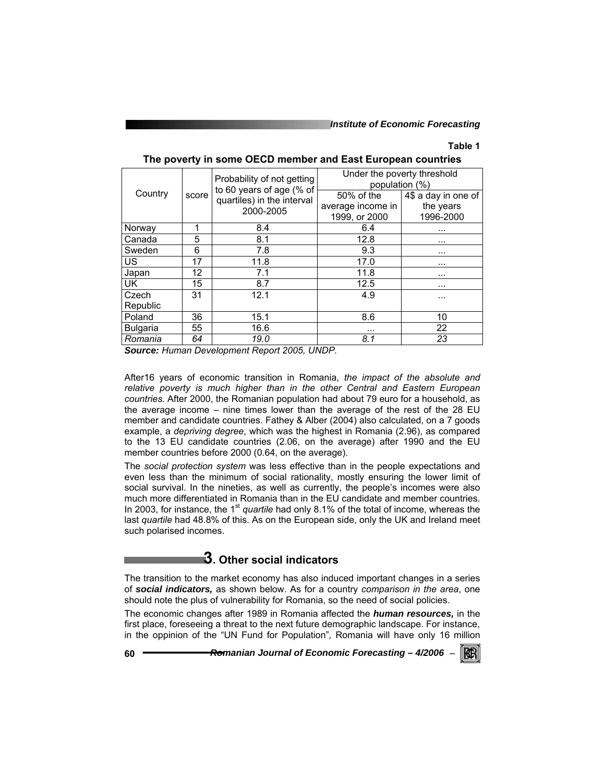*Institute of Economic Forecasting*

### **Table 1**

| Country         |       | Probability of not getting<br>to 60 years of age (% of | Under the poverty threshold<br>population (%) |                     |  |  |  |  |  |  |
|-----------------|-------|--------------------------------------------------------|-----------------------------------------------|---------------------|--|--|--|--|--|--|
|                 | score | quartiles) in the interval                             | 50% of the                                    | 4\$ a day in one of |  |  |  |  |  |  |
|                 |       | 2000-2005                                              | average income in                             | the years           |  |  |  |  |  |  |
|                 |       |                                                        | 1999, or 2000                                 | 1996-2000           |  |  |  |  |  |  |
| Norway          | 1     | 8.4                                                    | 6.4                                           |                     |  |  |  |  |  |  |
| Canada          | 5     | 8.1                                                    | 12.8                                          | $\cdots$            |  |  |  |  |  |  |
| Sweden          | 6     | 7.8                                                    | 9.3                                           |                     |  |  |  |  |  |  |
| <b>US</b>       | 17    | 11.8                                                   | 17.0                                          |                     |  |  |  |  |  |  |
| Japan           | 12    | 7.1                                                    | 11.8                                          | $\cdots$            |  |  |  |  |  |  |
| <b>UK</b>       | 15    | 8.7                                                    | 12.5                                          | $\cdots$            |  |  |  |  |  |  |
| Czech           | 31    | 12.1                                                   | 4.9                                           | .                   |  |  |  |  |  |  |
| Republic        |       |                                                        |                                               |                     |  |  |  |  |  |  |
| Poland          | 36    | 15.1                                                   | 8.6                                           | 10                  |  |  |  |  |  |  |
| <b>Bulgaria</b> | 55    | 16.6                                                   | .                                             | 22                  |  |  |  |  |  |  |
| Romania         | 64    | 19.0                                                   | 8.1                                           | 23                  |  |  |  |  |  |  |

**The poverty in some OECD member and East European countries** 

*Source: Human Development Report 2005, UNDP.* 

After16 years of economic transition in Romania, *the impact of the absolute and relative poverty is much higher than in the other Central and Eastern European countries.* After 2000, the Romanian population had about 79 euro for a household, as the average income – nine times lower than the average of the rest of the 28 EU member and candidate countries. Fathey & Alber (2004) also calculated, on a 7 goods example, a *depriving degree*, which was the highest in Romania (2.96), as compared to the 13 EU candidate countries (2.06, on the average) after 1990 and the EU member countries before 2000 (0.64, on the average).

The *social protection system* was less effective than in the people expectations and even less than the minimum of social rationality, mostly ensuring the lower limit of social survival. In the nineties, as well as currently, the people's incomes were also much more differentiated in Romania than in the EU candidate and member countries. In 2003, for instance, the 1<sup>st</sup> quartile had only 8.1% of the total of income, whereas the last *quartile* had 48.8% of this. As on the European side, only the UK and Ireland meet such polarised incomes.

# **3. Other social indicators**

The transition to the market economy has also induced important changes in a series of *social indicators,* as shown below. As for a country *comparison in the area*, one should note the plus of vulnerability for Romania, so the need of social policies.

The economic changes after 1989 in Romania affected the *human resources,* in the first place, foreseeing a threat to the next future demographic landscape. For instance, in the oppinion of the "UN Fund for Population"*,* Romania will have only 16 million

**60** *Romanian Journal of Economic Forecasting – 4/2006* <sup>−</sup>

**RB**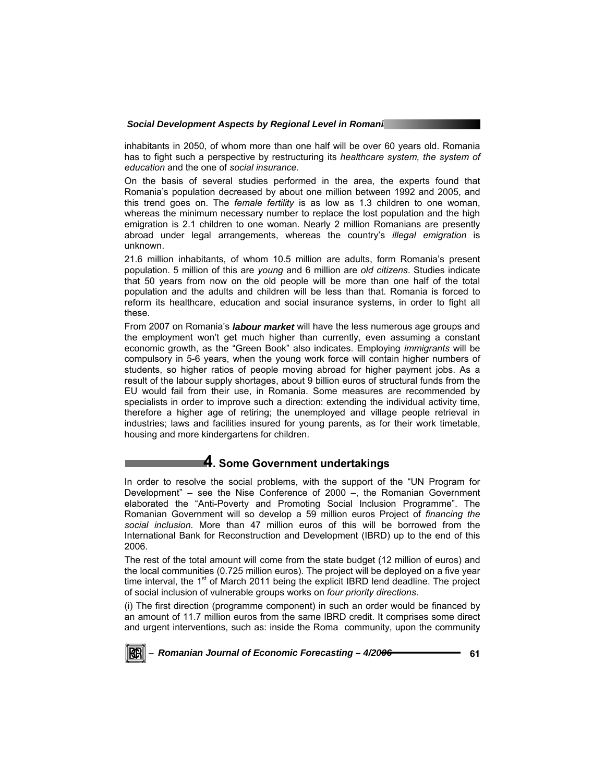inhabitants in 2050, of whom more than one half will be over 60 years old. Romania has to fight such a perspective by restructuring its *healthcare system, the system of education* and the one of *social insurance*.

On the basis of several studies performed in the area, the experts found that Romania's population decreased by about one million between 1992 and 2005, and this trend goes on. The *female fertility* is as low as 1.3 children to one woman, whereas the minimum necessary number to replace the lost population and the high emigration is 2.1 children to one woman. Nearly 2 million Romanians are presently abroad under legal arrangements, whereas the country's *illegal emigration* is unknown.

21.6 million inhabitants, of whom 10.5 million are adults, form Romania's present population. 5 million of this are *young* and 6 million are *old citizens*. Studies indicate that 50 years from now on the old people will be more than one half of the total population and the adults and children will be less than that. Romania is forced to reform its healthcare, education and social insurance systems, in order to fight all these.

From 2007 on Romania's *labour market* will have the less numerous age groups and the employment won't get much higher than currently, even assuming a constant economic growth, as the "Green Book" also indicates. Employing *immigrants* will be compulsory in 5-6 years, when the young work force will contain higher numbers of students, so higher ratios of people moving abroad for higher payment jobs. As a result of the labour supply shortages, about 9 billion euros of structural funds from the EU would fail from their use, in Romania. Some measures are recommended by specialists in order to improve such a direction: extending the individual activity time, therefore a higher age of retiring; the unemployed and village people retrieval in industries; laws and facilities insured for young parents, as for their work timetable, housing and more kindergartens for children.

# **4. Some Government undertakings**

In order to resolve the social problems, with the support of the "UN Program for Development" *–* see the Nise Conference of 2000 *–*, the Romanian Government elaborated the "Anti-Poverty and Promoting Social Inclusion Programme". The Romanian Government will so develop a 59 million euros Project of *financing the social inclusion*. More than 47 million euros of this will be borrowed from the International Bank for Reconstruction and Development (IBRD) up to the end of this 2006.

The rest of the total amount will come from the state budget (12 million of euros) and the local communities (0.725 million euros). The project will be deployed on a five year time interval, the  $1<sup>st</sup>$  of March 2011 being the explicit IBRD lend deadline. The project of social inclusion of vulnerable groups works on *four priority directions*.

(i) The first direction (programme component) in such an order would be financed by an amount of 11.7 million euros from the same IBRD credit. It comprises some direct and urgent interventions, such as: inside the Roma community, upon the community

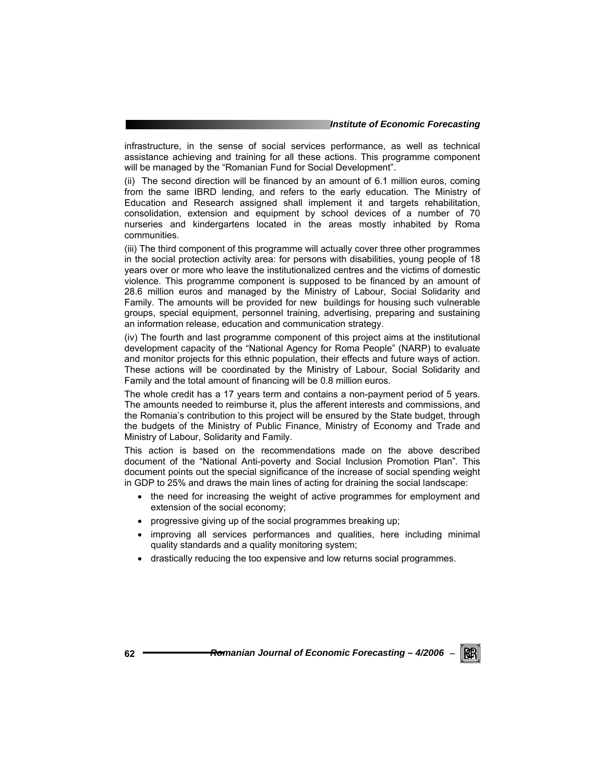infrastructure, in the sense of social services performance, as well as technical assistance achieving and training for all these actions. This programme component will be managed by the "Romanian Fund for Social Development".

(ii) The second direction will be financed by an amount of 6.1 million euros, coming from the same IBRD lending, and refers to the early education. The Ministry of Education and Research assigned shall implement it and targets rehabilitation, consolidation, extension and equipment by school devices of a number of 70 nurseries and kindergartens located in the areas mostly inhabited by Roma communities.

(iii) The third component of this programme will actually cover three other programmes in the social protection activity area: for persons with disabilities, young people of 18 years over or more who leave the institutionalized centres and the victims of domestic violence. This programme component is supposed to be financed by an amount of 28.6 million euros and managed by the Ministry of Labour, Social Solidarity and Family. The amounts will be provided for new buildings for housing such vulnerable groups, special equipment, personnel training, advertising, preparing and sustaining an information release, education and communication strategy.

(iv) The fourth and last programme component of this project aims at the institutional development capacity of the "National Agency for Roma People" (NARP) to evaluate and monitor projects for this ethnic population, their effects and future ways of action. These actions will be coordinated by the Ministry of Labour, Social Solidarity and Family and the total amount of financing will be 0.8 million euros.

The whole credit has a 17 years term and contains a non-payment period of 5 years. The amounts needed to reimburse it, plus the afferent interests and commissions, and the Romania's contribution to this project will be ensured by the State budget, through the budgets of the Ministry of Public Finance, Ministry of Economy and Trade and Ministry of Labour, Solidarity and Family.

This action is based on the recommendations made on the above described document of the "National Anti-poverty and Social Inclusion Promotion Plan"*.* This document points out the special significance of the increase of social spending weight in GDP to 25% and draws the main lines of acting for draining the social landscape:

- the need for increasing the weight of active programmes for employment and extension of the social economy;
- progressive giving up of the social programmes breaking up;
- improving all services performances and qualities, here including minimal quality standards and a quality monitoring system;
- drastically reducing the too expensive and low returns social programmes.

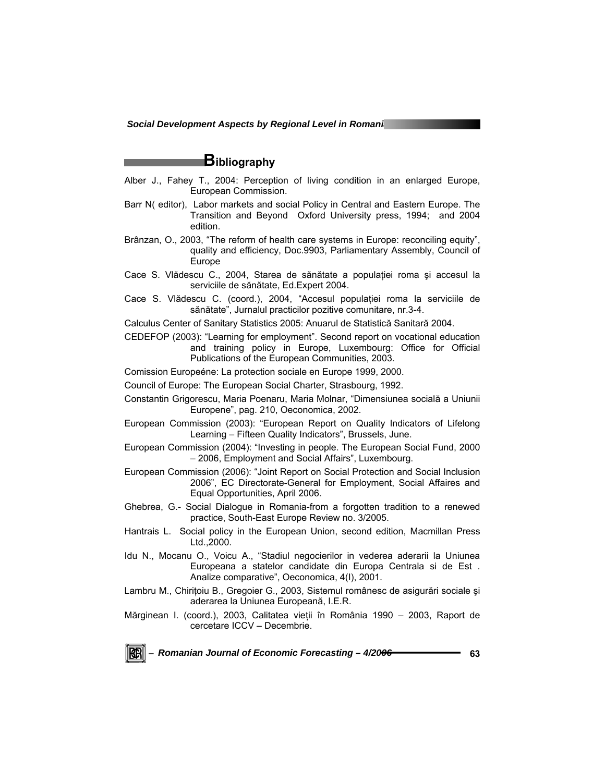# **Bibliography**

- Alber J., Fahey T., 2004: Perception of living condition in an enlarged Europe, European Commission.
- Barr N( editor), Labor markets and social Policy in Central and Eastern Europe. The Transition and Beyond Oxford University press, 1994; and 2004 edition.
- Brânzan, O., 2003, "The reform of health care systems in Europe: reconciling equity", quality and efficiency, Doc.9903, Parliamentary Assembly, Council of Europe
- Cace S. Vlădescu C., 2004, Starea de sănătate a populaţiei roma şi accesul la serviciile de sănătate, Ed.Expert 2004.
- Cace S. Vlădescu C. (coord.), 2004, "Accesul populaţiei roma la serviciile de sănătate", Jurnalul practicilor pozitive comunitare, nr.3-4.
- Calculus Center of Sanitary Statistics 2005: Anuarul de Statistică Sanitară 2004.
- CEDEFOP (2003): "Learning for employment". Second report on vocational education and training policy in Europe, Luxembourg: Office for Official Publications of the European Communities, 2003.
- Comission Europeéne: La protection sociale en Europe 1999, 2000.
- Council of Europe: The European Social Charter, Strasbourg, 1992.
- Constantin Grigorescu, Maria Poenaru, Maria Molnar, "Dimensiunea socială a Uniunii Europene", pag. 210, Oeconomica, 2002.
- European Commission (2003): "European Report on Quality Indicators of Lifelong Learning – Fifteen Quality Indicators", Brussels, June.
- European Commission (2004): "Investing in people. The European Social Fund, 2000 – 2006, Employment and Social Affairs", Luxembourg.
- European Commission (2006): "Joint Report on Social Protection and Social Inclusion 2006", EC Directorate-General for Employment, Social Affaires and Equal Opportunities, April 2006.
- Ghebrea, G.- Social Dialogue in Romania-from a forgotten tradition to a renewed practice, South-East Europe Review no. 3/2005.
- Hantrais L. Social policy in the European Union, second edition, Macmillan Press Ltd.,2000.
- Idu N., Mocanu O., Voicu A., "Stadiul negocierilor in vederea aderarii la Uniunea Europeana a statelor candidate din Europa Centrala si de Est . Analize comparative", Oeconomica, 4(I), 2001.
- Lambru M., Chiriţoiu B., Gregoier G., 2003, Sistemul românesc de asigurări sociale şi aderarea la Uniunea Europeană, I.E.R.
- Mărginean I. (coord.), 2003, Calitatea vieţii în România 1990 2003, Raport de cercetare ICCV – Decembrie.

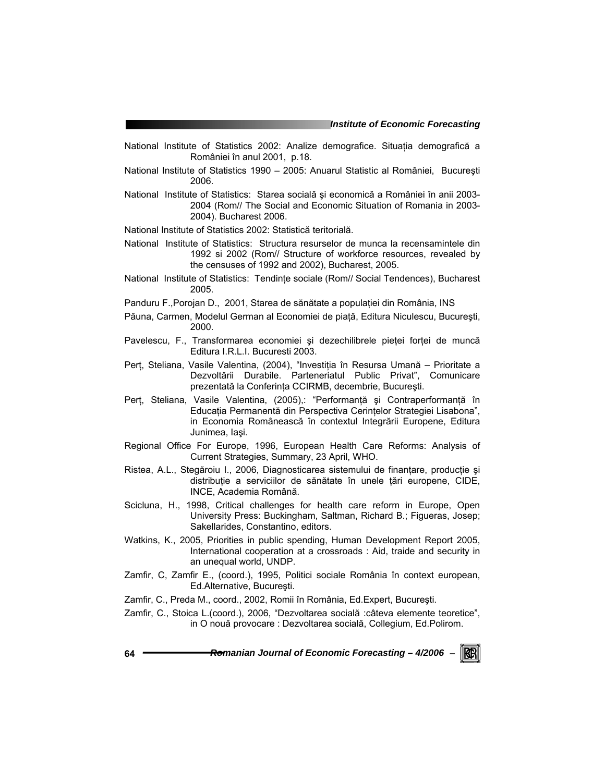- National Institute of Statistics 2002: Analize demografice. Situaţia demografică a României în anul 2001, p.18.
- National Institute of Statistics 1990 2005: Anuarul Statistic al României, Bucureşti 2006.
- National Institute of Statistics: Starea socială şi economică a României în anii 2003- 2004 (Rom// The Social and Economic Situation of Romania in 2003- 2004). Bucharest 2006.
- National Institute of Statistics 2002: Statistică teritorială.
- National Institute of Statistics: Structura resurselor de munca la recensamintele din 1992 si 2002 (Rom// Structure of workforce resources, revealed by the censuses of 1992 and 2002), Bucharest, 2005.
- National Institute of Statistics: Tendinte sociale (Rom// Social Tendences), Bucharest 2005.
- Panduru F.,Porojan D., 2001, Starea de sănătate a populaţiei din România, INS
- Păuna, Carmen, Modelul German al Economiei de piaţă, Editura Niculescu, Bucureşti, 2000.
- Pavelescu, F., Transformarea economiei și dezechilibrele pieței forței de muncă Editura I.R.L.I. Bucuresti 2003.
- Perţ, Steliana, Vasile Valentina, (2004), "Investiţia în Resursa Umană Prioritate a Dezvoltării Durabile. Parteneriatul Public Privat", Comunicare prezentată la Conferinţa CCIRMB, decembrie, Bucureşti.
- Perț, Steliana, Vasile Valentina, (2005),: "Performanță și Contraperformanță în Educaţia Permanentă din Perspectiva Cerinţelor Strategiei Lisabona", in Economia Românească în contextul Integrării Europene, Editura Junimea, Iaşi.
- Regional Office For Europe, 1996, European Health Care Reforms: Analysis of Current Strategies, Summary, 23 April, WHO.
- Ristea, A.L., Stegăroiu I., 2006, Diagnosticarea sistemului de finantare, producție și distribuție a serviciilor de sănătate în unele țări europene, CIDE, INCE, Academia Română.
- Scicluna, H., 1998, Critical challenges for health care reform in Europe, Open University Press: Buckingham, Saltman, Richard B.; Figueras, Josep; Sakellarides, Constantino, editors.
- Watkins, K., 2005, Priorities in public spending, Human Development Report 2005, International cooperation at a crossroads : Aid, traide and security in an unequal world, UNDP.
- Zamfir, C, Zamfir E., (coord.), 1995, Politici sociale România în context european, Ed.Alternative, Bucureşti.
- Zamfir, C., Preda M., coord., 2002, Romii în România, Ed.Expert, Bucureşti.
- Zamfir, C., Stoica L.(coord.), 2006, "Dezvoltarea socială :câteva elemente teoretice", in O nouă provocare : Dezvoltarea socială, Collegium, Ed.Polirom.

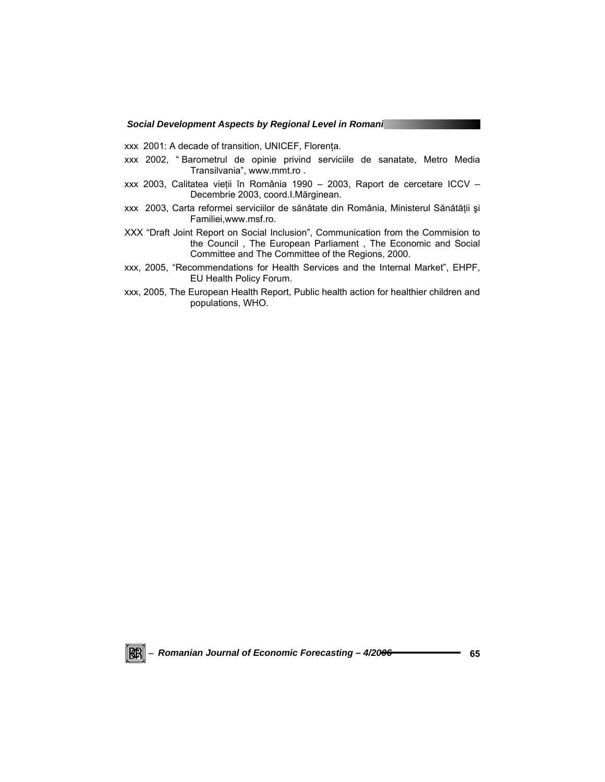xxx 2001: A decade of transition, UNICEF, Florenţa.

- xxx 2002, " Barometrul de opinie privind serviciile de sanatate, Metro Media Transilvania", www.mmt.ro .
- xxx 2003, Calitatea vieţii în România 1990 2003, Raport de cercetare ICCV Decembrie 2003, coord.I.Mărginean.
- xxx 2003, Carta reformei serviciilor de sănătate din România, Ministerul Sănătății și Familiei,www.msf.ro.
- XXX "Draft Joint Report on Social Inclusion", Communication from the Commision to the Council , The European Parliament , The Economic and Social Committee and The Committee of the Regions, 2000.
- xxx, 2005, "Recommendations for Health Services and the Internal Market", EHPF, EU Health Policy Forum.
- xxx, 2005, The European Health Report, Public health action for healthier children and populations, WHO.

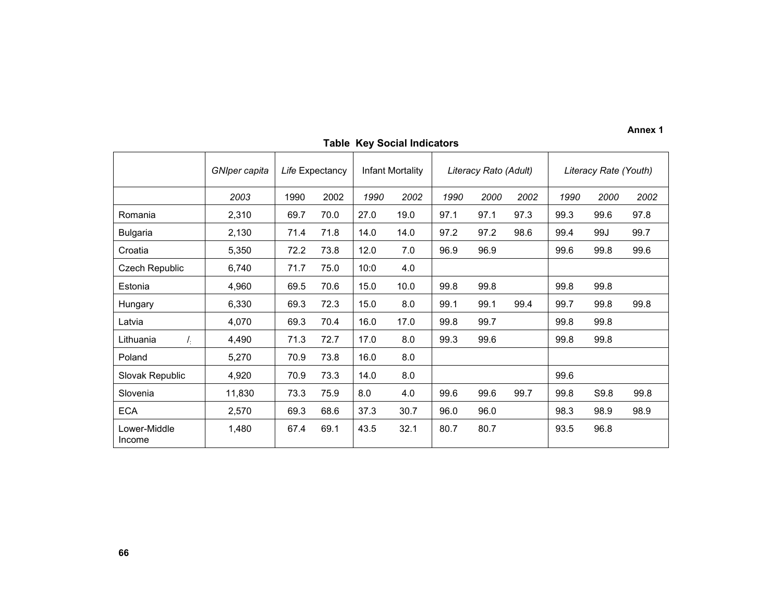**Annex 1** 

|                          | GNIper capita |      | Life Expectancy |      | Infant Mortality |      | Literacy Rato (Adult) |      | Literacy Rate (Youth) |      |      |  |  |  |
|--------------------------|---------------|------|-----------------|------|------------------|------|-----------------------|------|-----------------------|------|------|--|--|--|
|                          | 2003          | 1990 | 2002            | 1990 | 2002             | 1990 | 2000                  | 2002 | 1990                  | 2000 | 2002 |  |  |  |
| Romania                  | 2,310         | 69.7 | 70.0            | 27.0 | 19.0             | 97.1 | 97.1                  | 97.3 | 99.3                  | 99.6 | 97.8 |  |  |  |
| <b>Bulgaria</b>          | 2,130         | 71.4 | 71.8            | 14.0 | 14.0             | 97.2 | 97.2                  | 98.6 | 99.4                  | 99J  | 99.7 |  |  |  |
| Croatia                  | 5,350         | 72.2 | 73.8            | 12.0 | 7.0              | 96.9 | 96.9                  |      | 99.6                  | 99.8 | 99.6 |  |  |  |
| Czech Republic           | 6,740         | 71.7 | 75.0            | 10:0 | 4.0              |      |                       |      |                       |      |      |  |  |  |
| Estonia                  | 4,960         | 69.5 | 70.6            | 15.0 | 10.0             | 99.8 | 99.8                  |      | 99.8                  | 99.8 |      |  |  |  |
| Hungary                  | 6,330         | 69.3 | 72.3            | 15.0 | 8.0              | 99.1 | 99.1                  | 99.4 | 99.7                  | 99.8 | 99.8 |  |  |  |
| Latvia                   | 4,070         | 69.3 | 70.4            | 16.0 | 17.0             | 99.8 | 99.7                  |      | 99.8                  | 99.8 |      |  |  |  |
| $I_{\rm f}$<br>Lithuania | 4,490         | 71.3 | 72.7            | 17.0 | 8.0              | 99.3 | 99.6                  |      | 99.8                  | 99.8 |      |  |  |  |
| Poland                   | 5,270         | 70.9 | 73.8            | 16.0 | 8.0              |      |                       |      |                       |      |      |  |  |  |
| Slovak Republic          | 4,920         | 70.9 | 73.3            | 14.0 | 8.0              |      |                       |      | 99.6                  |      |      |  |  |  |
| Slovenia                 | 11,830        | 73.3 | 75.9            | 8.0  | 4.0              | 99.6 | 99.6                  | 99.7 | 99.8                  | S9.8 | 99.8 |  |  |  |
| <b>ECA</b>               | 2,570         | 69.3 | 68.6            | 37.3 | 30.7             | 96.0 | 96.0                  |      | 98.3                  | 98.9 | 98.9 |  |  |  |
| Lower-Middle<br>Income   | 1,480         | 67.4 | 69.1            | 43.5 | 32.1             | 80.7 | 80.7                  |      | 93.5                  | 96.8 |      |  |  |  |

# **Table Key Social Indicators**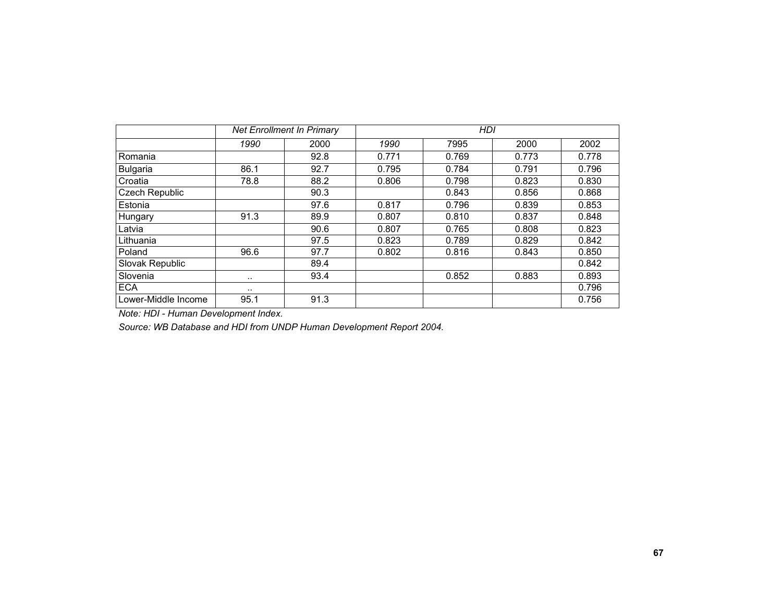|                     |           | <b>Net Enrollment In Primary</b> |       | <b>HDI</b> |       |       |  |  |  |  |  |  |  |  |
|---------------------|-----------|----------------------------------|-------|------------|-------|-------|--|--|--|--|--|--|--|--|
|                     | 1990      | 2000                             | 1990  | 7995       | 2000  | 2002  |  |  |  |  |  |  |  |  |
| Romania             |           | 92.8                             | 0.771 | 0.769      | 0.773 | 0.778 |  |  |  |  |  |  |  |  |
| <b>Bulgaria</b>     | 86.1      | 92.7                             | 0.795 | 0.784      | 0.791 | 0.796 |  |  |  |  |  |  |  |  |
| Croatia             | 78.8      | 88.2                             | 0.806 | 0.798      | 0.823 | 0.830 |  |  |  |  |  |  |  |  |
| Czech Republic      |           | 90.3                             |       | 0.843      | 0.856 | 0.868 |  |  |  |  |  |  |  |  |
| Estonia             |           | 97.6                             | 0.817 | 0.796      | 0.839 | 0.853 |  |  |  |  |  |  |  |  |
| Hungary             | 91.3      | 89.9                             | 0.807 | 0.810      | 0.837 | 0.848 |  |  |  |  |  |  |  |  |
| Latvia              |           | 90.6                             | 0.807 | 0.765      | 0.808 | 0.823 |  |  |  |  |  |  |  |  |
| Lithuania           |           | 97.5                             | 0.823 | 0.789      | 0.829 | 0.842 |  |  |  |  |  |  |  |  |
| Poland              | 96.6      | 97.7                             | 0.802 | 0.816      | 0.843 | 0.850 |  |  |  |  |  |  |  |  |
| Slovak Republic     |           | 89.4                             |       |            |       | 0.842 |  |  |  |  |  |  |  |  |
| Slovenia            | $\cdot$ . | 93.4                             |       | 0.852      | 0.883 | 0.893 |  |  |  |  |  |  |  |  |
| <b>ECA</b>          | $\cdot$ . |                                  |       |            |       | 0.796 |  |  |  |  |  |  |  |  |
| Lower-Middle Income | 95.1      | 91.3                             |       |            |       | 0.756 |  |  |  |  |  |  |  |  |

*Note: HDI - Human Development Index.* 

*Source: WB Database and HDI from UNDP Human Development Report 2004.*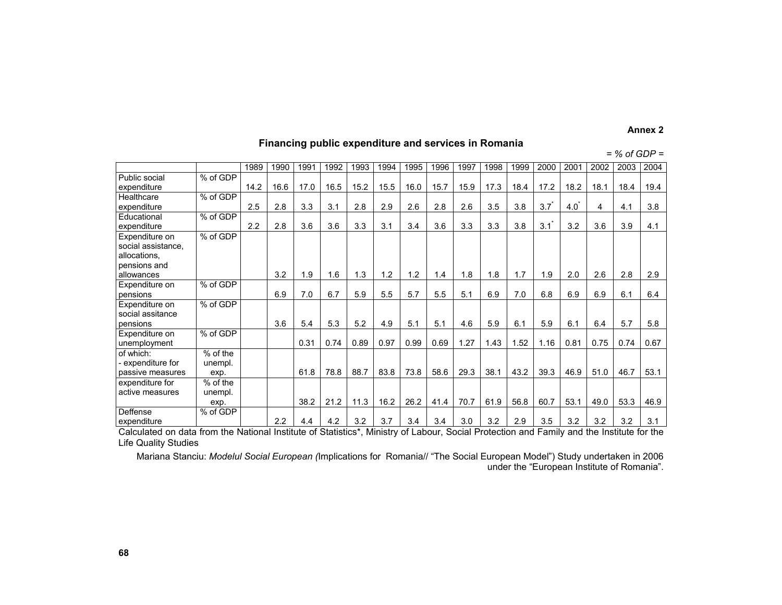#### **Annex 2**

## **Financing public expenditure and services in Romania**

#### *= % of GDP =*

|                    |            | 1989 | 1990 | 1991 | 1992 | 1993 | 1994 | 1995 | 1996 | 1997 | 1998 | 1999 | 2000 | 2001 | 2002 | 2003 | 2004 |
|--------------------|------------|------|------|------|------|------|------|------|------|------|------|------|------|------|------|------|------|
| Public social      | % of GDP   |      |      |      |      |      |      |      |      |      |      |      |      |      |      |      |      |
| expenditure        |            | 14.2 | 16.6 | 17.0 | 16.5 | 15.2 | 15.5 | 16.0 | 15.7 | 15.9 | 17.3 | 18.4 | 17.2 | 18.2 | 18.1 | 18.4 | 19.4 |
| Healthcare         | % of GDP   |      |      |      |      |      |      |      |      |      |      |      |      |      |      |      |      |
| expenditure        |            | 2.5  | 2.8  | 3.3  | 3.1  | 2.8  | 2.9  | 2.6  | 2.8  | 2.6  | 3.5  | 3.8  | 3.7  | 4.0  | 4    | 4.1  | 3.8  |
| Educational        | % of GDP   |      |      |      |      |      |      |      |      |      |      |      |      |      |      |      |      |
| expenditure        |            | 2.2  | 2.8  | 3.6  | 3.6  | 3.3  | 3.1  | 3.4  | 3.6  | 3.3  | 3.3  | 3.8  | 3.1  | 3.2  | 3.6  | 3.9  | 4.1  |
| Expenditure on     | % of GDP   |      |      |      |      |      |      |      |      |      |      |      |      |      |      |      |      |
| social assistance. |            |      |      |      |      |      |      |      |      |      |      |      |      |      |      |      |      |
| allocations,       |            |      |      |      |      |      |      |      |      |      |      |      |      |      |      |      |      |
| pensions and       |            |      |      |      |      |      |      |      |      |      |      |      |      |      |      |      |      |
| allowances         |            |      | 3.2  | 1.9  | 1.6  | 1.3  | 1.2  | 1.2  | 1.4  | 1.8  | 1.8  | 1.7  | 1.9  | 2.0  | 2.6  | 2.8  | 2.9  |
| Expenditure on     | % of GDP   |      |      |      |      |      |      |      |      |      |      |      |      |      |      |      |      |
| pensions           |            |      | 6.9  | 7.0  | 6.7  | 5.9  | 5.5  | 5.7  | 5.5  | 5.1  | 6.9  | 7.0  | 6.8  | 6.9  | 6.9  | 6.1  | 6.4  |
| Expenditure on     | % of GDP   |      |      |      |      |      |      |      |      |      |      |      |      |      |      |      |      |
| social assitance   |            |      |      |      |      |      |      |      |      |      |      |      |      |      |      |      |      |
| pensions           |            |      | 3.6  | 5.4  | 53   | 5.2  | 4.9  | 5.1  | 5.1  | 4.6  | 5.9  | 6.1  | 5.9  | 6.1  | 6.4  | 5.7  | 5.8  |
| Expenditure on     | % of GDP   |      |      |      |      |      |      |      |      |      |      |      |      |      |      |      |      |
| unemployment       |            |      |      | 0.31 | 0.74 | 0.89 | 0.97 | 0.99 | 0.69 | 1.27 | 1.43 | 1.52 | 1.16 | 0.81 | 0.75 | 0.74 | 0.67 |
| of which:          | % of the   |      |      |      |      |      |      |      |      |      |      |      |      |      |      |      |      |
| - expenditure for  | unempl.    |      |      |      |      |      |      |      |      |      |      |      |      |      |      |      |      |
| passive measures   | exp.       |      |      | 61.8 | 78.8 | 88.7 | 83.8 | 73.8 | 58.6 | 29.3 | 38.1 | 43.2 | 39.3 | 46.9 | 51.0 | 46.7 | 53.1 |
| expenditure for    | $%$ of the |      |      |      |      |      |      |      |      |      |      |      |      |      |      |      |      |
| active measures    | unempl.    |      |      |      |      |      |      |      |      |      |      |      |      |      |      |      |      |
|                    | exp.       |      |      | 38.2 | 21.2 | 11.3 | 16.2 | 26.2 | 41.4 | 70.7 | 61.9 | 56.8 | 60.7 | 53.1 | 49.0 | 53.3 | 46.9 |
| Deffense           | % of GDP   |      |      |      |      |      |      |      |      |      |      |      |      |      |      |      |      |
| expenditure        |            |      | 2.2  | 4.4  | 4.2  | 3.2  | 3.7  | 3.4  | 3.4  | 3.0  | 3.2  | 2.9  | 3.5  | 3.2  | 3.2  | 3.2  | 3.1  |

expenditure Calculated on data from the National Institute of Statistics\*, Ministry of Labour, Social Protection and Family and the Institute for the Life Quality Studies

Mariana Stanciu: *Modelul Social European (*Implications for Romania// "The Social European Model") Study undertaken in 2006 under the "European Institute of Romania".